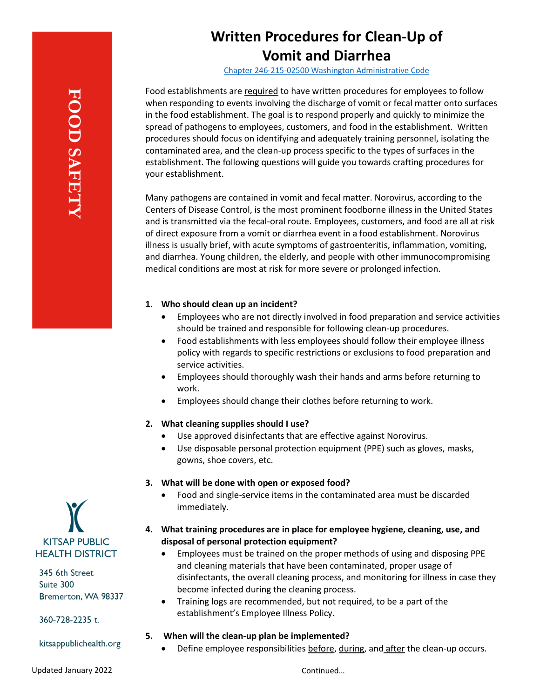# **Written Procedures for Clean-Up of Vomit and Diarrhea**

[Chapter 246-215-02500](https://apps.leg.wa.gov/wac/default.aspx?cite=246-215-02500) Washington Administrative Code

Food establishments are required to have written procedures for employees to follow when responding to events involving the discharge of vomit or fecal matter onto surfaces in the food establishment. The goal is to respond properly and quickly to minimize the spread of pathogens to employees, customers, and food in the establishment. Written procedures should focus on identifying and adequately training personnel, isolating the contaminated area, and the clean-up process specific to the types of surfaces in the establishment. The following questions will guide you towards crafting procedures for your establishment.

Many pathogens are contained in vomit and fecal matter. Norovirus, according to the Centers of Disease Control, is the most prominent foodborne illness in the United States and is transmitted via the fecal-oral route. Employees, customers, and food are all at risk of direct exposure from a vomit or diarrhea event in a food establishment. Norovirus illness is usually brief, with acute symptoms of gastroenteritis, inflammation, vomiting, and diarrhea. Young children, the elderly, and people with other immunocompromising medical conditions are most at risk for more severe or prolonged infection.

## **1. Who should clean up an incident?**

- Employees who are not directly involved in food preparation and service activities should be trained and responsible for following clean-up procedures.
- Food establishments with less employees should follow their employee illness policy with regards to specific restrictions or exclusions to food preparation and service activities.
- Employees should thoroughly wash their hands and arms before returning to work.
- Employees should change their clothes before returning to work.

## **2. What cleaning supplies should I use?**

- Use approved disinfectants that are effective against Norovirus.
- Use disposable personal protection equipment (PPE) such as gloves, masks, gowns, shoe covers, etc.

## **3. What will be done with open or exposed food?**

• Food and single-service items in the contaminated area must be discarded immediately.

# **4. What training procedures are in place for employee hygiene, cleaning, use, and disposal of personal protection equipment?**

- Employees must be trained on the proper methods of using and disposing PPE and cleaning materials that have been contaminated, proper usage of disinfectants, the overall cleaning process, and monitoring for illness in case they become infected during the cleaning process.
- Training logs are recommended, but not required, to be a part of the establishment's Employee Illness Policy.

## **5. When will the clean-up plan be implemented?**

Define employee responsibilities before, during, and after the clean-up occurs.

**KITSAP PUBLIC HEALTH DISTRICT** 

345 6th Street Suite 300 Bremerton, WA 98337

360-728-2235 t.

kitsappublichealth.org

Continued…